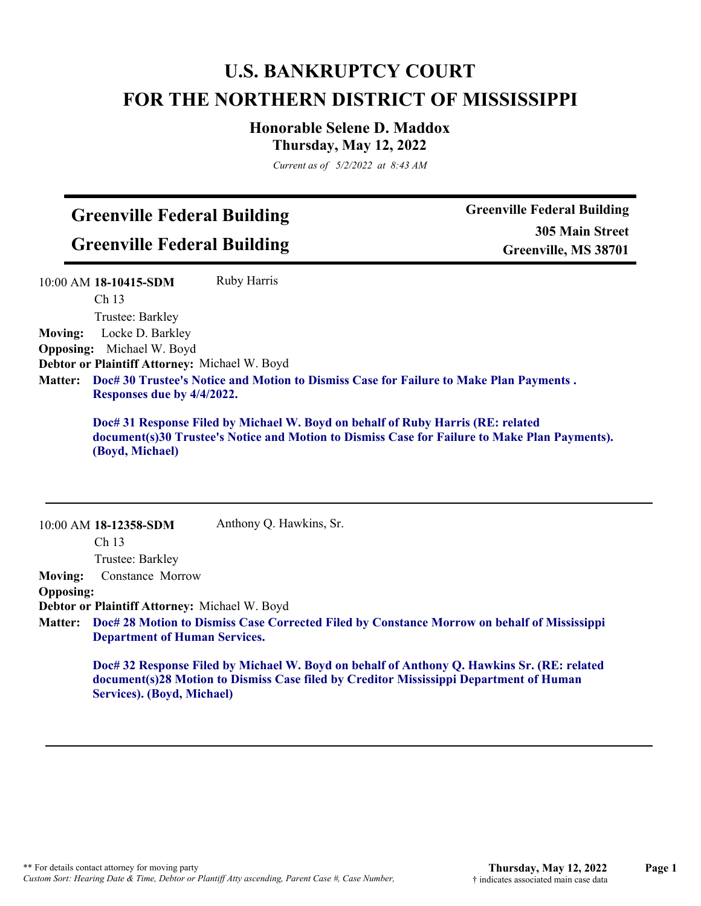## **U.S. BANKRUPTCY COURT FOR THE NORTHERN DISTRICT OF MISSISSIPPI**

## **Honorable Selene D. Maddox Thursday, May 12, 2022**

*Current as of 5/2/2022 at 8:43 AM*

## **Greenville Federal Building Greenville Federal Building**

**Greenville Federal Building 305 Main Street Greenville, MS 38701**

|                  | Ruby Harris<br>10:00 AM 18-10415-SDM                                                                                                                                                                |
|------------------|-----------------------------------------------------------------------------------------------------------------------------------------------------------------------------------------------------|
|                  | Ch <sub>13</sub>                                                                                                                                                                                    |
|                  | Trustee: Barkley                                                                                                                                                                                    |
| <b>Moving:</b>   | Locke D. Barkley                                                                                                                                                                                    |
| <b>Opposing:</b> | Michael W. Boyd                                                                                                                                                                                     |
|                  | Debtor or Plaintiff Attorney: Michael W. Boyd                                                                                                                                                       |
| <b>Matter:</b>   | Doc# 30 Trustee's Notice and Motion to Dismiss Case for Failure to Make Plan Payments.<br>Responses due by 4/4/2022.                                                                                |
|                  | Doc# 31 Response Filed by Michael W. Boyd on behalf of Ruby Harris (RE: related<br>document(s)30 Trustee's Notice and Motion to Dismiss Case for Failure to Make Plan Payments).<br>(Boyd, Michael) |
|                  |                                                                                                                                                                                                     |
|                  | Anthony Q. Hawkins, Sr.<br>10:00 AM 18-12358-SDM<br>Ch <sub>13</sub>                                                                                                                                |
|                  | Trustee: Barkley                                                                                                                                                                                    |
| <b>Moving:</b>   | Constance Morrow                                                                                                                                                                                    |
| <b>Opposing:</b> |                                                                                                                                                                                                     |
|                  | Debtor or Plaintiff Attorney: Michael W. Boyd<br>Matter: Doc# 28 Motion to Dismiss Case Corrected Filed by Constance Morrow on behalf of Mississippi<br><b>Department of Human Services.</b>        |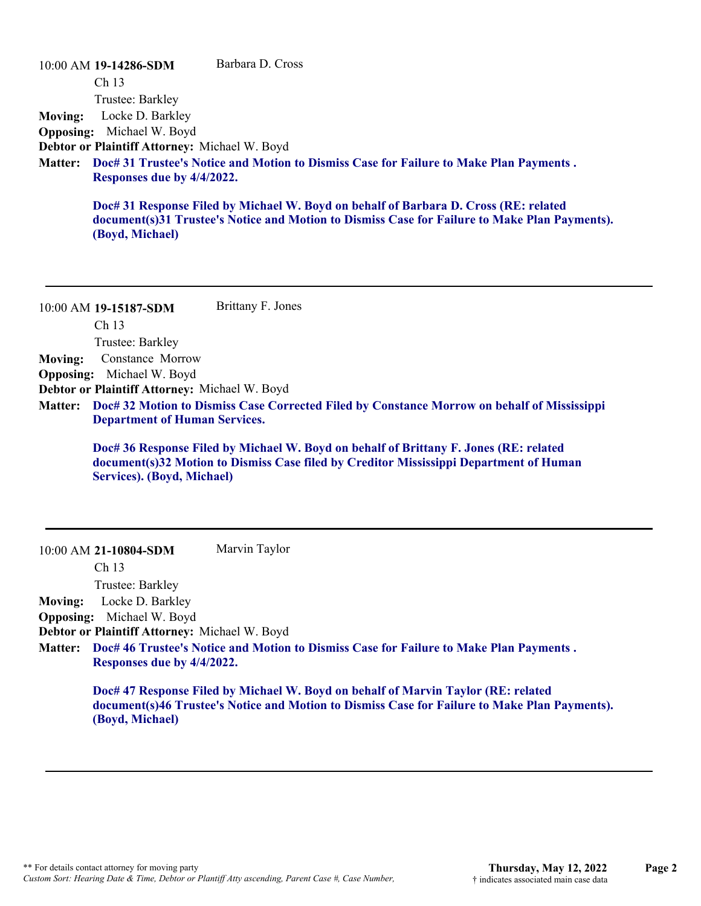10:00 AM **19-14286-SDM**  Ch 13 Trustee: Barkley Barbara D. Cross **Moving:** Locke D. Barkley **Opposing:** Michael W. Boyd **Debtor or Plaintiff Attorney:** Michael W. Boyd **Doc# 31 Trustee's Notice and Motion to Dismiss Case for Failure to Make Plan Payments . Matter: Responses due by 4/4/2022. Doc# 31 Response Filed by Michael W. Boyd on behalf of Barbara D. Cross (RE: related document(s)31 Trustee's Notice and Motion to Dismiss Case for Failure to Make Plan Payments). (Boyd, Michael)**

10:00 AM **19-15187-SDM**  Ch 13 Trustee: Barkley Brittany F. Jones **Moving:** Constance Morrow **Opposing:** Michael W. Boyd **Debtor or Plaintiff Attorney:** Michael W. Boyd **Doc# 32 Motion to Dismiss Case Corrected Filed by Constance Morrow on behalf of Mississippi Matter: Department of Human Services. Doc# 36 Response Filed by Michael W. Boyd on behalf of Brittany F. Jones (RE: related document(s)32 Motion to Dismiss Case filed by Creditor Mississippi Department of Human Services). (Boyd, Michael)**

10:00 AM **21-10804-SDM**  Marvin Taylor

Ch 13

Trustee: Barkley

**Moving:** Locke D. Barkley

**Opposing:** Michael W. Boyd

**Debtor or Plaintiff Attorney:** Michael W. Boyd

**Doc# 46 Trustee's Notice and Motion to Dismiss Case for Failure to Make Plan Payments . Matter: Responses due by 4/4/2022.**

**Doc# 47 Response Filed by Michael W. Boyd on behalf of Marvin Taylor (RE: related document(s)46 Trustee's Notice and Motion to Dismiss Case for Failure to Make Plan Payments). (Boyd, Michael)**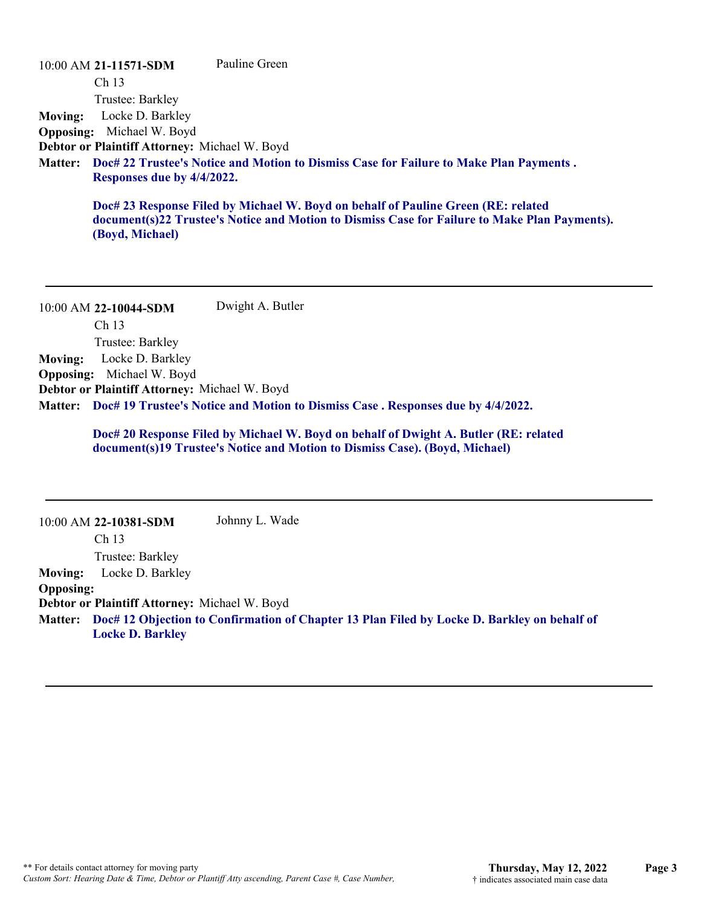10:00 AM **21-11571-SDM**  Ch 13 Trustee: Barkley Pauline Green **Moving:** Locke D. Barkley **Opposing:** Michael W. Boyd **Debtor or Plaintiff Attorney:** Michael W. Boyd **Doc# 22 Trustee's Notice and Motion to Dismiss Case for Failure to Make Plan Payments . Matter: Responses due by 4/4/2022. Doc# 23 Response Filed by Michael W. Boyd on behalf of Pauline Green (RE: related document(s)22 Trustee's Notice and Motion to Dismiss Case for Failure to Make Plan Payments). (Boyd, Michael)**

10:00 AM **22-10044-SDM**  Ch 13 Trustee: Barkley Dwight A. Butler **Moving:** Locke D. Barkley **Opposing:** Michael W. Boyd **Debtor or Plaintiff Attorney:** Michael W. Boyd **Doc# 19 Trustee's Notice and Motion to Dismiss Case . Responses due by 4/4/2022. Matter:**

> **Doc# 20 Response Filed by Michael W. Boyd on behalf of Dwight A. Butler (RE: related document(s)19 Trustee's Notice and Motion to Dismiss Case). (Boyd, Michael)**

|                  | 10:00 AM 22-10381-SDM                                | Johnny L. Wade                                                                                      |
|------------------|------------------------------------------------------|-----------------------------------------------------------------------------------------------------|
|                  | Ch <sub>13</sub>                                     |                                                                                                     |
|                  | Trustee: Barkley                                     |                                                                                                     |
| <b>Moving:</b>   | Locke D. Barkley                                     |                                                                                                     |
| <b>Opposing:</b> |                                                      |                                                                                                     |
|                  | <b>Debtor or Plaintiff Attorney: Michael W. Boyd</b> |                                                                                                     |
|                  | <b>Locke D. Barkley</b>                              | Matter: Doc# 12 Objection to Confirmation of Chapter 13 Plan Filed by Locke D. Barkley on behalf of |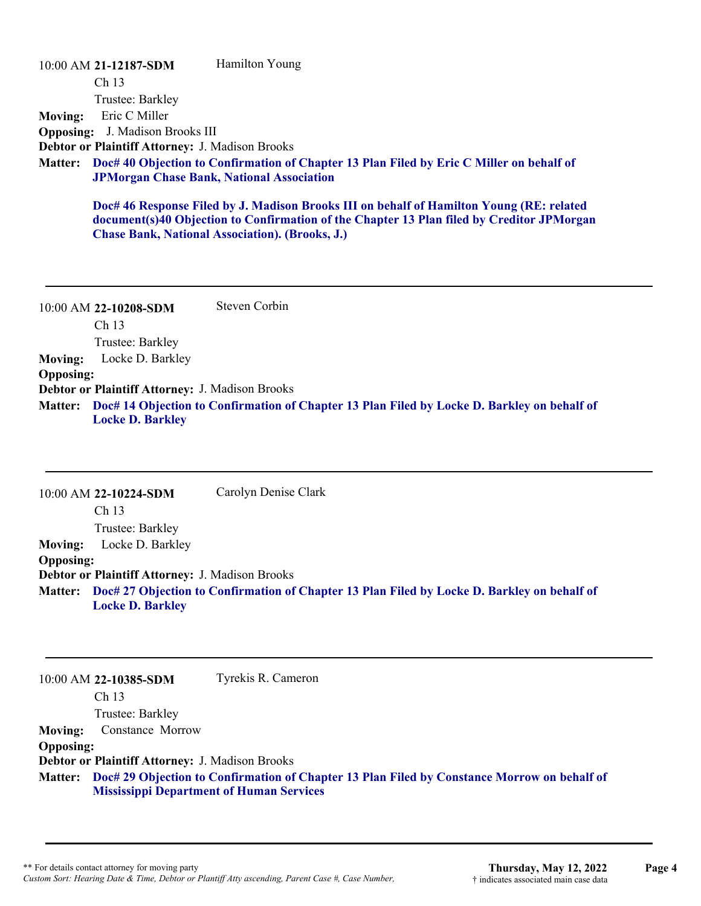10:00 AM **21-12187-SDM**  Ch 13 Trustee: Barkley Hamilton Young **Moving:** Eric C Miller **Opposing:** J. Madison Brooks III **Debtor or Plaintiff Attorney:** J. Madison Brooks **Doc# 40 Objection to Confirmation of Chapter 13 Plan Filed by Eric C Miller on behalf of Matter: JPMorgan Chase Bank, National Association Doc# 46 Response Filed by J. Madison Brooks III on behalf of Hamilton Young (RE: related document(s)40 Objection to Confirmation of the Chapter 13 Plan filed by Creditor JPMorgan**

**Chase Bank, National Association). (Brooks, J.)**

10:00 AM **22-10208-SDM**  Ch 13 Trustee: Barkley Steven Corbin **Moving:** Locke D. Barkley **Opposing: Debtor or Plaintiff Attorney:** J. Madison Brooks **Doc# 14 Objection to Confirmation of Chapter 13 Plan Filed by Locke D. Barkley on behalf of Matter: Locke D. Barkley**

10:00 AM **22-10224-SDM**  Ch 13 Trustee: Barkley Carolyn Denise Clark **Moving:** Locke D. Barkley **Opposing: Debtor or Plaintiff Attorney:** J. Madison Brooks **Doc# 27 Objection to Confirmation of Chapter 13 Plan Filed by Locke D. Barkley on behalf of Matter: Locke D. Barkley**

10:00 AM **22-10385-SDM**  Ch 13 Trustee: Barkley Tyrekis R. Cameron **Moving:** Constance Morrow **Opposing: Debtor or Plaintiff Attorney:** J. Madison Brooks **Doc# 29 Objection to Confirmation of Chapter 13 Plan Filed by Constance Morrow on behalf of Matter: Mississippi Department of Human Services**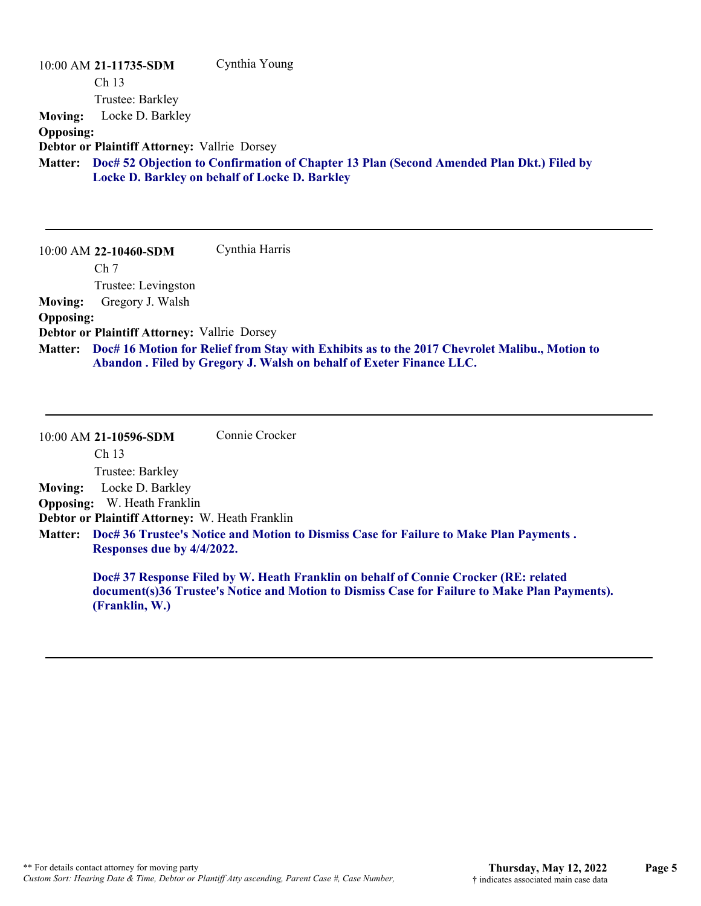| 10:00 AM 21-11735-SDM                               | Cynthia Young                                                                                 |
|-----------------------------------------------------|-----------------------------------------------------------------------------------------------|
| Ch <sub>13</sub>                                    |                                                                                               |
| Trustee: Barkley                                    |                                                                                               |
| Locke D. Barkley<br><b>Moving:</b>                  |                                                                                               |
| <b>Opposing:</b>                                    |                                                                                               |
| <b>Debtor or Plaintiff Attorney: Vallrie Dorsey</b> |                                                                                               |
| <b>Matter:</b>                                      | Doc# 52 Objection to Confirmation of Chapter 13 Plan (Second Amended Plan Dkt.) Filed by      |
|                                                     | Locke D. Barkley on behalf of Locke D. Barkley                                                |
|                                                     |                                                                                               |
|                                                     |                                                                                               |
|                                                     |                                                                                               |
| 10:00 AM 22-10460-SDM                               | Cynthia Harris                                                                                |
| Ch <sub>7</sub>                                     |                                                                                               |
| Trustee: Levingston                                 |                                                                                               |
| Gregory J. Walsh<br><b>Moving:</b>                  |                                                                                               |
| <b>Opposing:</b>                                    |                                                                                               |
| <b>Debtor or Plaintiff Attorney: Vallrie Dorsey</b> |                                                                                               |
| <b>Matter:</b>                                      | Doc# 16 Motion for Relief from Stay with Exhibits as to the 2017 Chevrolet Malibu., Motion to |
|                                                     | Abandon . Filed by Gregory J. Walsh on behalf of Exeter Finance LLC.                          |

| 10:00 AM 21-10596-SDM                           | Connie Crocker                                                                                 |
|-------------------------------------------------|------------------------------------------------------------------------------------------------|
| Ch <sub>13</sub>                                |                                                                                                |
| Trustee: Barkley                                |                                                                                                |
| Moving: Locke D. Barkley                        |                                                                                                |
| <b>Opposing:</b> W. Heath Franklin              |                                                                                                |
| Debtor or Plaintiff Attorney: W. Heath Franklin |                                                                                                |
| Responses due by 4/4/2022.                      | Matter: Doc# 36 Trustee's Notice and Motion to Dismiss Case for Failure to Make Plan Payments. |
|                                                 | Doc# 37 Response Filed by W. Heath Franklin on behalf of Connie Crocker (RE: related           |

**document(s)36 Trustee's Notice and Motion to Dismiss Case for Failure to Make Plan Payments). (Franklin, W.)**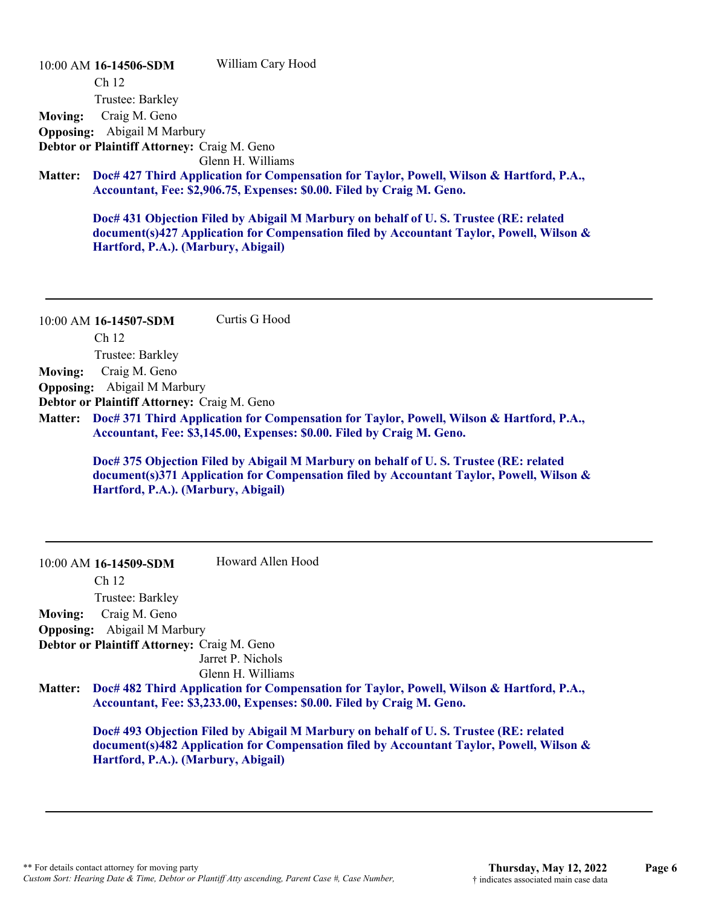10:00 AM **16-14506-SDM**  Ch 12 Trustee: Barkley William Cary Hood **Moving:** Craig M. Geno **Opposing:** Abigail M Marbury **Debtor or Plaintiff Attorney:** Craig M. Geno Glenn H. Williams **Doc# 427 Third Application for Compensation for Taylor, Powell, Wilson & Hartford, P.A., Matter: Accountant, Fee: \$2,906.75, Expenses: \$0.00. Filed by Craig M. Geno.**

> **Doc# 431 Objection Filed by Abigail M Marbury on behalf of U. S. Trustee (RE: related document(s)427 Application for Compensation filed by Accountant Taylor, Powell, Wilson & Hartford, P.A.). (Marbury, Abigail)**

10:00 AM **16-14507-SDM**  Ch 12 Trustee: Barkley Curtis G Hood **Moving:** Craig M. Geno **Opposing:** Abigail M Marbury **Debtor or Plaintiff Attorney:** Craig M. Geno

**Doc# 371 Third Application for Compensation for Taylor, Powell, Wilson & Hartford, P.A., Matter: Accountant, Fee: \$3,145.00, Expenses: \$0.00. Filed by Craig M. Geno.**

**Doc# 375 Objection Filed by Abigail M Marbury on behalf of U. S. Trustee (RE: related document(s)371 Application for Compensation filed by Accountant Taylor, Powell, Wilson & Hartford, P.A.). (Marbury, Abigail)**

|                | 10:00 AM 16-14509-SDM                       | Howard Allen Hood                                                                                                                                                  |
|----------------|---------------------------------------------|--------------------------------------------------------------------------------------------------------------------------------------------------------------------|
|                | Ch <sub>12</sub>                            |                                                                                                                                                                    |
|                | Trustee: Barkley                            |                                                                                                                                                                    |
| <b>Moving:</b> | Craig M. Geno                               |                                                                                                                                                                    |
|                | <b>Opposing:</b> Abigail M Marbury          |                                                                                                                                                                    |
|                | Debtor or Plaintiff Attorney: Craig M. Geno |                                                                                                                                                                    |
|                |                                             | Jarret P. Nichols                                                                                                                                                  |
|                |                                             | Glenn H. Williams                                                                                                                                                  |
| <b>Matter:</b> |                                             | Doc# 482 Third Application for Compensation for Taylor, Powell, Wilson & Hartford, P.A.,<br>Accountant, Fee: \$3,233.00, Expenses: \$0.00. Filed by Craig M. Geno. |

**Doc# 493 Objection Filed by Abigail M Marbury on behalf of U. S. Trustee (RE: related document(s)482 Application for Compensation filed by Accountant Taylor, Powell, Wilson & Hartford, P.A.). (Marbury, Abigail)**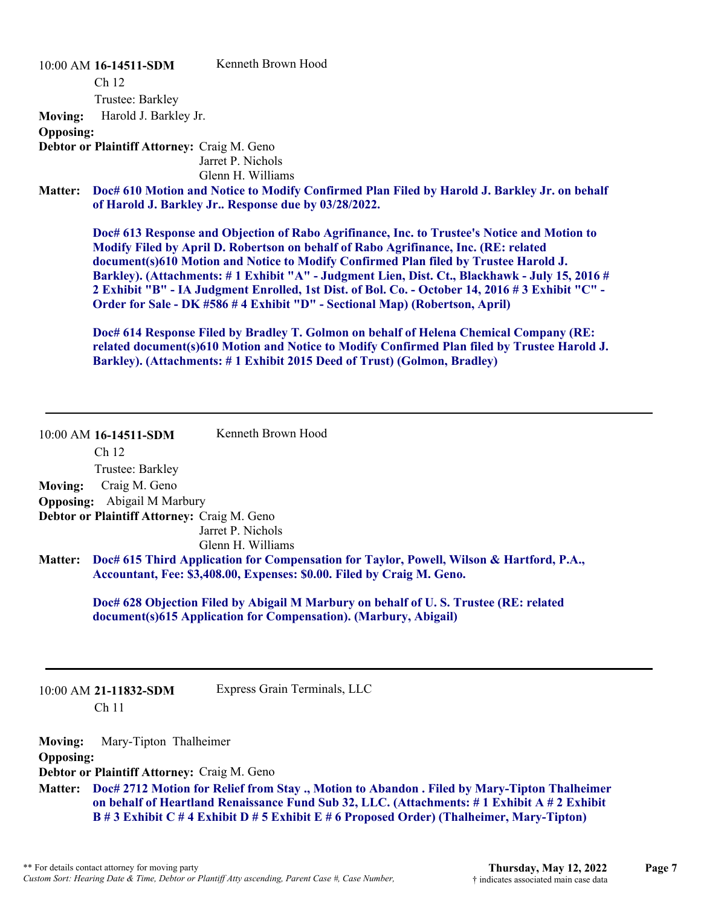10:00 AM **16-14511-SDM** 

Kenneth Brown Hood

Ch 12

Trustee: Barkley

**Moving:** Harold J. Barkley Jr.

**Opposing:**

**Debtor or Plaintiff Attorney:** Craig M. Geno Jarret P. Nichols

Glenn H. Williams

**Doc# 610 Motion and Notice to Modify Confirmed Plan Filed by Harold J. Barkley Jr. on behalf Matter: of Harold J. Barkley Jr.. Response due by 03/28/2022.**

**Doc# 613 Response and Objection of Rabo Agrifinance, Inc. to Trustee's Notice and Motion to Modify Filed by April D. Robertson on behalf of Rabo Agrifinance, Inc. (RE: related document(s)610 Motion and Notice to Modify Confirmed Plan filed by Trustee Harold J. Barkley). (Attachments: # 1 Exhibit "A" - Judgment Lien, Dist. Ct., Blackhawk - July 15, 2016 # 2 Exhibit "B" - IA Judgment Enrolled, 1st Dist. of Bol. Co. - October 14, 2016 # 3 Exhibit "C" - Order for Sale - DK #586 # 4 Exhibit "D" - Sectional Map) (Robertson, April)** 

**Doc# 614 Response Filed by Bradley T. Golmon on behalf of Helena Chemical Company (RE: related document(s)610 Motion and Notice to Modify Confirmed Plan filed by Trustee Harold J. Barkley). (Attachments: # 1 Exhibit 2015 Deed of Trust) (Golmon, Bradley)**

|                | 10:00 AM 16-14511-SDM                       | Kenneth Brown Hood                                                                                                                                                 |
|----------------|---------------------------------------------|--------------------------------------------------------------------------------------------------------------------------------------------------------------------|
|                | Ch <sub>12</sub>                            |                                                                                                                                                                    |
|                | Trustee: Barkley                            |                                                                                                                                                                    |
| <b>Moving:</b> | Craig M. Geno                               |                                                                                                                                                                    |
|                | <b>Opposing:</b> Abigail M Marbury          |                                                                                                                                                                    |
|                | Debtor or Plaintiff Attorney: Craig M. Geno |                                                                                                                                                                    |
|                |                                             | Jarret P. Nichols                                                                                                                                                  |
|                |                                             | Glenn H. Williams                                                                                                                                                  |
| <b>Matter:</b> |                                             | Doc# 615 Third Application for Compensation for Taylor, Powell, Wilson & Hartford, P.A.,<br>Accountant, Fee: \$3,408.00, Expenses: \$0.00. Filed by Craig M. Geno. |
|                |                                             |                                                                                                                                                                    |

**Doc# 628 Objection Filed by Abigail M Marbury on behalf of U. S. Trustee (RE: related document(s)615 Application for Compensation). (Marbury, Abigail)**

10:00 AM **21-11832-SDM**  Ch 11

Express Grain Terminals, LLC

**Moving:** Mary-Tipton Thalheimer

**Opposing:**

**Debtor or Plaintiff Attorney:** Craig M. Geno

**Doc# 2712 Motion for Relief from Stay ., Motion to Abandon . Filed by Mary-Tipton Thalheimer Matter: on behalf of Heartland Renaissance Fund Sub 32, LLC. (Attachments: # 1 Exhibit A # 2 Exhibit B # 3 Exhibit C # 4 Exhibit D # 5 Exhibit E # 6 Proposed Order) (Thalheimer, Mary-Tipton)**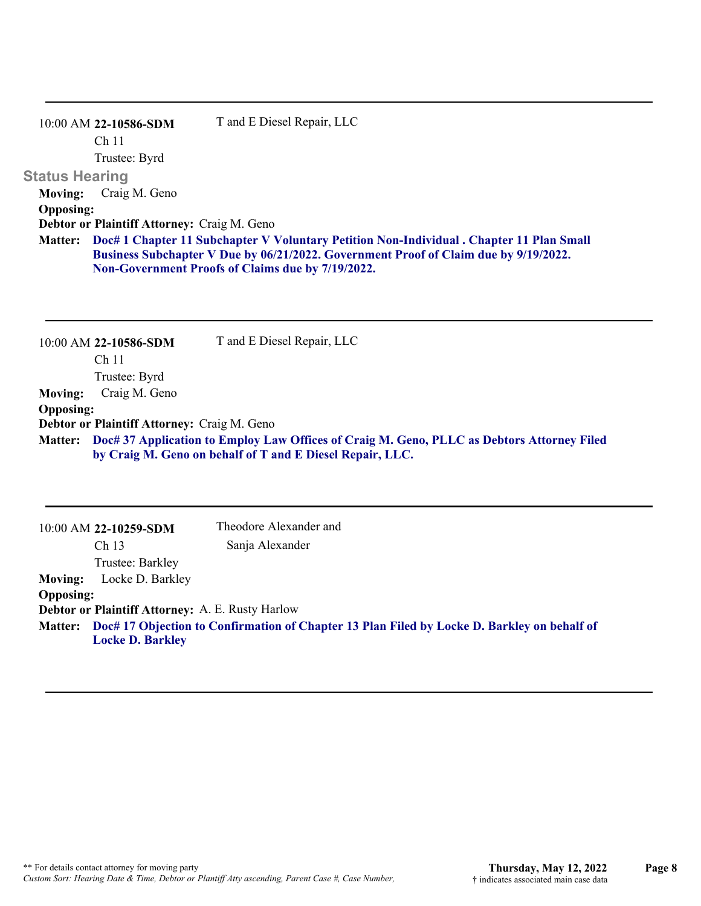|                       | $10:00$ AM 22-10586-SDM                     | T and E Diesel Repair, LLC                                                                                                                                                                                                            |
|-----------------------|---------------------------------------------|---------------------------------------------------------------------------------------------------------------------------------------------------------------------------------------------------------------------------------------|
|                       | Ch <sub>11</sub>                            |                                                                                                                                                                                                                                       |
|                       | Trustee: Byrd                               |                                                                                                                                                                                                                                       |
| <b>Status Hearing</b> |                                             |                                                                                                                                                                                                                                       |
| <b>Moving:</b>        | Craig M. Geno                               |                                                                                                                                                                                                                                       |
| <b>Opposing:</b>      |                                             |                                                                                                                                                                                                                                       |
|                       | Debtor or Plaintiff Attorney: Craig M. Geno |                                                                                                                                                                                                                                       |
| <b>Matter:</b>        |                                             | Doc# 1 Chapter 11 Subchapter V Voluntary Petition Non-Individual . Chapter 11 Plan Small<br>Business Subchapter V Due by 06/21/2022. Government Proof of Claim due by 9/19/2022.<br>Non-Government Proofs of Claims due by 7/19/2022. |
|                       |                                             |                                                                                                                                                                                                                                       |

|                  | 10:00 AM 22-10586-SDM                       | T and E Diesel Repair, LLC                                                                 |
|------------------|---------------------------------------------|--------------------------------------------------------------------------------------------|
|                  | Ch 11                                       |                                                                                            |
|                  | Trustee: Byrd                               |                                                                                            |
| <b>Moving:</b>   | Craig M. Geno                               |                                                                                            |
| <b>Opposing:</b> |                                             |                                                                                            |
|                  | Debtor or Plaintiff Attorney: Craig M. Geno |                                                                                            |
| <b>Matter:</b>   |                                             | Doc# 37 Application to Employ Law Offices of Craig M. Geno, PLLC as Debtors Attorney Filed |
|                  |                                             | by Craig M. Geno on behalf of T and E Diesel Repair, LLC.                                  |

|                  | $10:00$ AM 22-10259-SDM                          | Theodore Alexander and                                                                              |
|------------------|--------------------------------------------------|-----------------------------------------------------------------------------------------------------|
|                  | Ch <sub>13</sub>                                 | Sanja Alexander                                                                                     |
|                  | Trustee: Barkley                                 |                                                                                                     |
| <b>Moving:</b>   | Locke D. Barkley                                 |                                                                                                     |
| <b>Opposing:</b> |                                                  |                                                                                                     |
|                  | Debtor or Plaintiff Attorney: A. E. Rusty Harlow |                                                                                                     |
|                  | <b>Locke D. Barkley</b>                          | Matter: Doc# 17 Objection to Confirmation of Chapter 13 Plan Filed by Locke D. Barkley on behalf of |